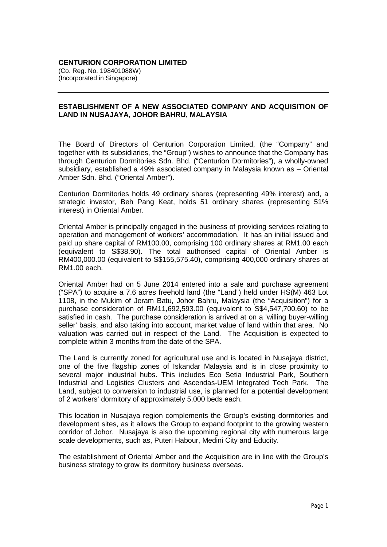## **CENTURION CORPORATION LIMITED**

(Co. Reg. No. 198401088W) (Incorporated in Singapore)

## **ESTABLISHMENT OF A NEW ASSOCIATED COMPANY AND ACQUISITION OF LAND IN NUSAJAYA, JOHOR BAHRU, MALAYSIA**

The Board of Directors of Centurion Corporation Limited, (the "Company" and together with its subsidiaries, the "Group") wishes to announce that the Company has through Centurion Dormitories Sdn. Bhd. ("Centurion Dormitories"), a wholly-owned subsidiary, established a 49% associated company in Malaysia known as – Oriental Amber Sdn. Bhd. ("Oriental Amber").

Centurion Dormitories holds 49 ordinary shares (representing 49% interest) and, a strategic investor, Beh Pang Keat, holds 51 ordinary shares (representing 51% interest) in Oriental Amber.

Oriental Amber is principally engaged in the business of providing services relating to operation and management of workers' accommodation. It has an initial issued and paid up share capital of RM100.00, comprising 100 ordinary shares at RM1.00 each (equivalent to S\$38.90). The total authorised capital of Oriental Amber is RM400,000.00 (equivalent to S\$155,575.40), comprising 400,000 ordinary shares at RM1.00 each.

Oriental Amber had on 5 June 2014 entered into a sale and purchase agreement ("SPA") to acquire a 7.6 acres freehold land (the "Land") held under HS(M) 463 Lot 1108, in the Mukim of Jeram Batu, Johor Bahru, Malaysia (the "Acquisition") for a purchase consideration of RM11,692,593.00 (equivalent to S\$4,547,700.60) to be satisfied in cash. The purchase consideration is arrived at on a 'willing buyer-willing seller' basis, and also taking into account, market value of land within that area. No valuation was carried out in respect of the Land. The Acquisition is expected to complete within 3 months from the date of the SPA.

The Land is currently zoned for agricultural use and is located in Nusajaya district, one of the five flagship zones of Iskandar Malaysia and is in close proximity to several major industrial hubs. This includes Eco Setia Industrial Park, Southern Industrial and Logistics Clusters and Ascendas-UEM Integrated Tech Park. The Land, subject to conversion to industrial use, is planned for a potential development of 2 workers' dormitory of approximately 5,000 beds each.

This location in Nusajaya region complements the Group's existing dormitories and development sites, as it allows the Group to expand footprint to the growing western corridor of Johor. Nusajaya is also the upcoming regional city with numerous large scale developments, such as, Puteri Habour, Medini City and Educity.

The establishment of Oriental Amber and the Acquisition are in line with the Group's business strategy to grow its dormitory business overseas.